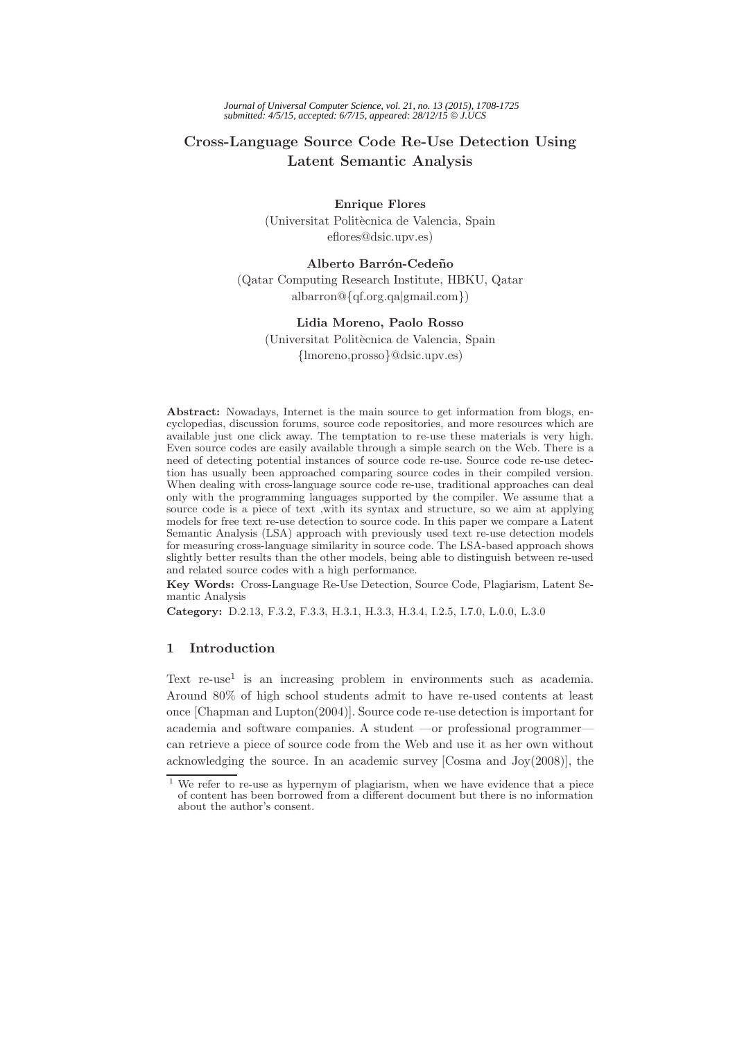# **Cross-Language Source Code Re-Use Detection Using Latent Semantic Analysis**

**Enrique Flores** (Universitat Politècnica de Valencia, Spain eflores@dsic.upv.es)

## **Alberto Barrón-Cedeño**

(Qatar Computing Research Institute, HBKU, Qatar albarron@{qf.org.qa|gmail.com})

### **Lidia Moreno, Paolo Rosso**

(Universitat Polit`ecnica de Valencia, Spain {lmoreno,prosso}@dsic.upv.es)

**Abstract:** Nowadays, Internet is the main source to get information from blogs, encyclopedias, discussion forums, source code repositories, and more resources which are available just one click away. The temptation to re-use these materials is very high. Even source codes are easily available through a simple search on the Web. There is a need of detecting potential instances of source code re-use. Source code re-use detection has usually been approached comparing source codes in their compiled version. When dealing with cross-language source code re-use, traditional approaches can deal only with the programming languages supported by the compiler. We assume that a source code is a piece of text ,with its syntax and structure, so we aim at applying models for free text re-use detection to source code. In this paper we compare a Latent Semantic Analysis (LSA) approach with previously used text re-use detection models for measuring cross-language similarity in source code. The LSA-based approach shows slightly better results than the other models, being able to distinguish between re-used and related source codes with a high performance.

**Key Words:** Cross-Language Re-Use Detection, Source Code, Plagiarism, Latent Semantic Analysis

**Category:** D.2.13, F.3.2, F.3.3, H.3.1, H.3.3, H.3.4, I.2.5, I.7.0, L.0.0, L.3.0

### **1 Introduction**

Text re-use<sup>1</sup> is an increasing problem in environments such as academia. Around 80% of high school students admit to have re-used contents at least once [Chapman and Lupton(2004)]. Source code re-use detection is important for academia and software companies. A student —or professional programmer can retrieve a piece of source code from the Web and use it as her own without acknowledging the source. In an academic survey [Cosma and Joy(2008)], the

We refer to re-use as hypernym of plagiarism, when we have evidence that a piece of content has been borrowed from a different document but there is no information about the author's consent.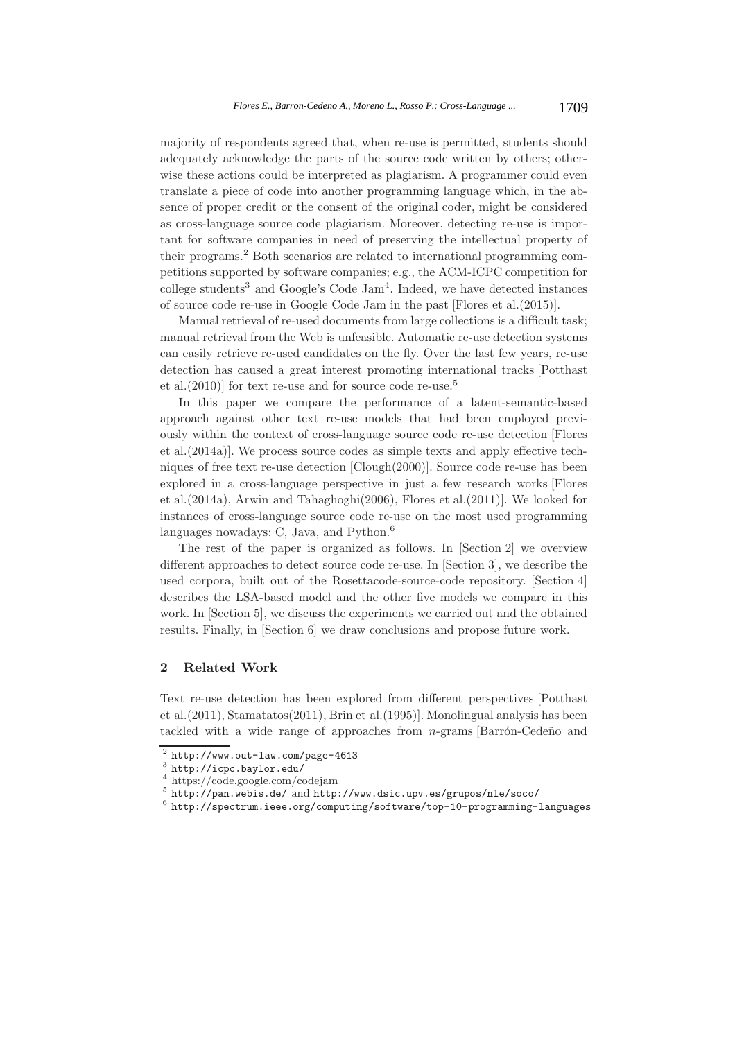majority of respondents agreed that, when re-use is permitted, students should adequately acknowledge the parts of the source code written by others; otherwise these actions could be interpreted as plagiarism. A programmer could even translate a piece of code into another programming language which, in the absence of proper credit or the consent of the original coder, might be considered as cross-language source code plagiarism. Moreover, detecting re-use is important for software companies in need of preserving the intellectual property of their programs.<sup>2</sup> Both scenarios are related to international programming competitions supported by software companies; e.g., the ACM-ICPC competition for college students<sup>3</sup> and Google's Code Jam<sup>4</sup>. Indeed, we have detected instances of source code re-use in Google Code Jam in the past [Flores et al.(2015)].

Manual retrieval of re-used documents from large collections is a difficult task; manual retrieval from the Web is unfeasible. Automatic re-use detection systems can easily retrieve re-used candidates on the fly. Over the last few years, re-use detection has caused a great interest promoting international tracks [Potthast et al.(2010)] for text re-use and for source code re-use.<sup>5</sup>

In this paper we compare the performance of a latent-semantic-based approach against other text re-use models that had been employed previously within the context of cross-language source code re-use detection [Flores et al.(2014a)]. We process source codes as simple texts and apply effective techniques of free text re-use detection [Clough(2000)]. Source code re-use has been explored in a cross-language perspective in just a few research works [Flores et al.(2014a), Arwin and Tahaghoghi(2006), Flores et al.(2011)]. We looked for instances of cross-language source code re-use on the most used programming languages nowadays: C, Java, and Python.<sup>6</sup>

The rest of the paper is organized as follows. In [Section 2] we overview different approaches to detect source code re-use. In [Section 3], we describe the used corpora, built out of the Rosettacode-source-code repository. [Section 4] describes the LSA-based model and the other five models we compare in this work. In [Section 5], we discuss the experiments we carried out and the obtained results. Finally, in [Section 6] we draw conclusions and propose future work.

# **2 Related Work**

Text re-use detection has been explored from different perspectives [Potthast et al.(2011), Stamatatos(2011), Brin et al.(1995)]. Monolingual analysis has been tackled with a wide range of approaches from  $n$ -grams [Barrón-Cedeño and

 $\begin{array}{l} \begin{array}{l} \text{$\lambda$} \\ \text{http://www.out-law.com/page-4613} \\ \text{http://icpc.baylor.edu/} \\ \text{http://code.google.com/codejam} \\ \text{http://pan.webis.de/ and http://www.dsic.upv.es/groups/nle/soco/} \\ \text{http://specrum.ieee.org/computing/software/top-10-programming-language} \end{array} \end{array}$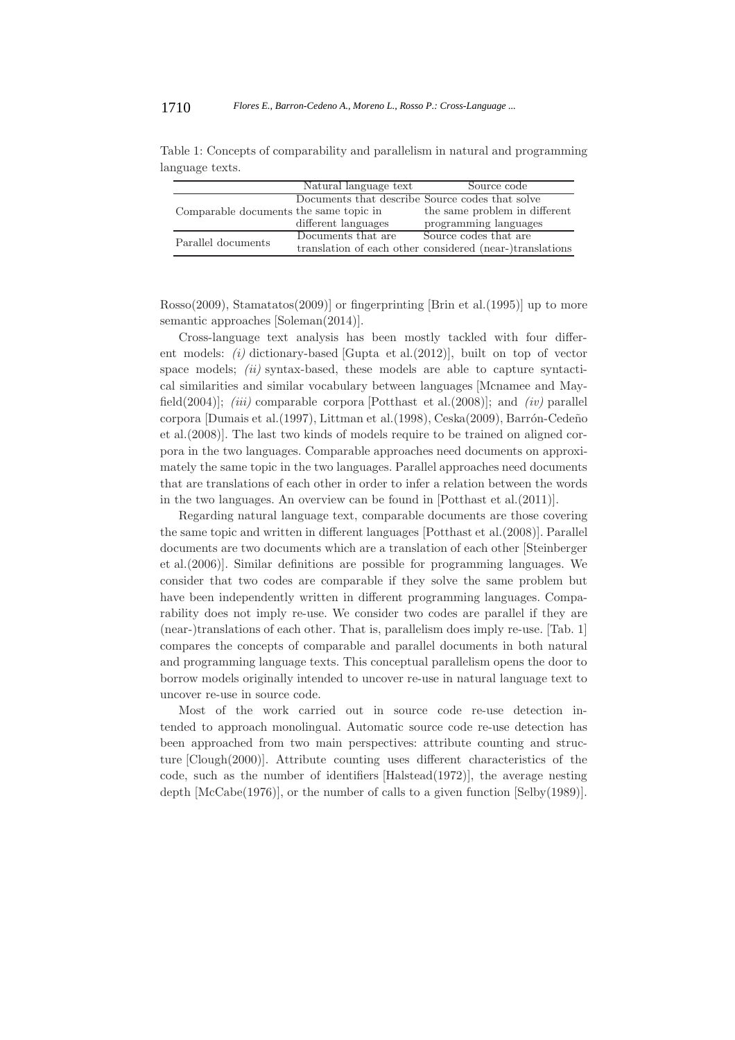|                                        | Natural language text                           | Source code                                              |
|----------------------------------------|-------------------------------------------------|----------------------------------------------------------|
|                                        | Documents that describe Source codes that solve |                                                          |
| Comparable documents the same topic in |                                                 | the same problem in different                            |
|                                        | different languages                             | programming languages                                    |
| Parallel documents                     | Documents that are                              | Source codes that are                                    |
|                                        |                                                 | translation of each other considered (near-)translations |

Table 1: Concepts of comparability and parallelism in natural and programming language texts.

Rosso(2009), Stamatatos(2009)] or fingerprinting [Brin et al.(1995)] up to more semantic approaches [Soleman(2014)].

Cross-language text analysis has been mostly tackled with four different models: *(i)* dictionary-based [Gupta et al.(2012)], built on top of vector space models; *(ii)* syntax-based, these models are able to capture syntactical similarities and similar vocabulary between languages [Mcnamee and Mayfield(2004)]; *(iii)* comparable corpora [Potthast et al.(2008)]; and *(iv)* parallel corpora [Dumais et al.(1997), Littman et al.(1998), Ceska(2009), Barrón-Cedeño et al.(2008)]. The last two kinds of models require to be trained on aligned corpora in the two languages. Comparable approaches need documents on approximately the same topic in the two languages. Parallel approaches need documents that are translations of each other in order to infer a relation between the words in the two languages. An overview can be found in [Potthast et al.(2011)].

Regarding natural language text, comparable documents are those covering the same topic and written in different languages [Potthast et al.(2008)]. Parallel documents are two documents which are a translation of each other [Steinberger et al.(2006)]. Similar definitions are possible for programming languages. We consider that two codes are comparable if they solve the same problem but have been independently written in different programming languages. Comparability does not imply re-use. We consider two codes are parallel if they are (near-)translations of each other. That is, parallelism does imply re-use. [Tab. 1] compares the concepts of comparable and parallel documents in both natural and programming language texts. This conceptual parallelism opens the door to borrow models originally intended to uncover re-use in natural language text to uncover re-use in source code.

Most of the work carried out in source code re-use detection intended to approach monolingual. Automatic source code re-use detection has been approached from two main perspectives: attribute counting and structure [Clough(2000)]. Attribute counting uses different characteristics of the code, such as the number of identifiers [Halstead(1972)], the average nesting depth [McCabe(1976)], or the number of calls to a given function [Selby(1989)].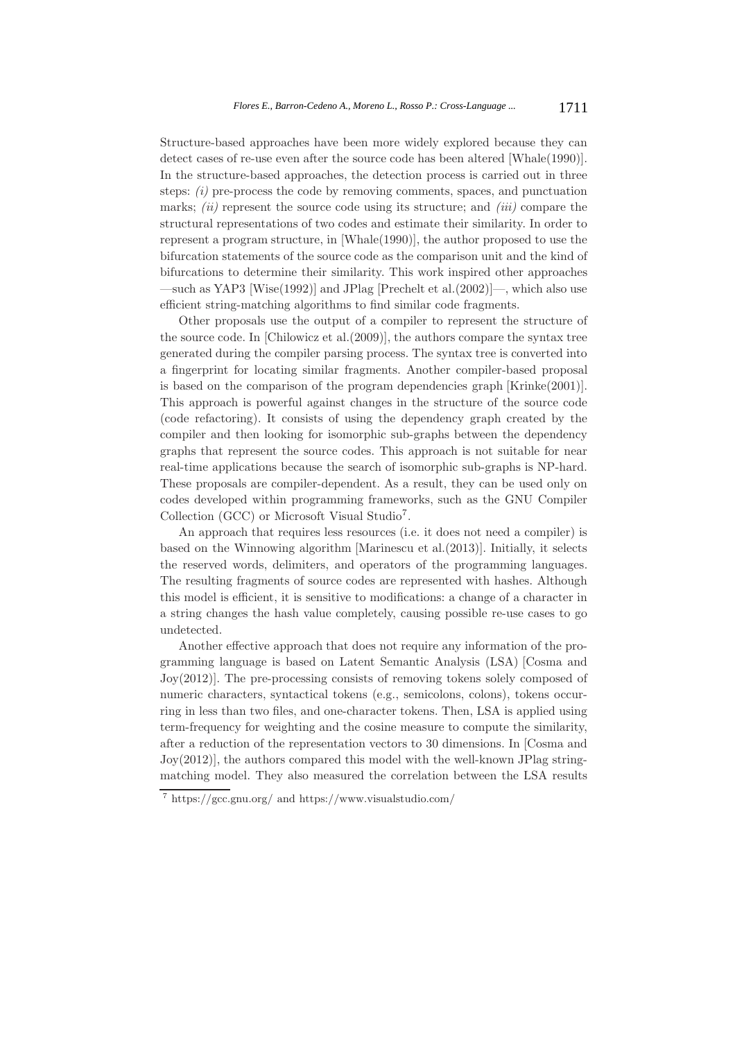Structure-based approaches have been more widely explored because they can detect cases of re-use even after the source code has been altered [Whale(1990)]. In the structure-based approaches, the detection process is carried out in three steps: *(i)* pre-process the code by removing comments, spaces, and punctuation marks; *(ii)* represent the source code using its structure; and *(iii)* compare the structural representations of two codes and estimate their similarity. In order to represent a program structure, in [Whale(1990)], the author proposed to use the bifurcation statements of the source code as the comparison unit and the kind of bifurcations to determine their similarity. This work inspired other approaches —such as YAP3 [Wise(1992)] and JPlag [Prechelt et al.(2002)]—, which also use efficient string-matching algorithms to find similar code fragments.

Other proposals use the output of a compiler to represent the structure of the source code. In [Chilowicz et al.(2009)], the authors compare the syntax tree generated during the compiler parsing process. The syntax tree is converted into a fingerprint for locating similar fragments. Another compiler-based proposal is based on the comparison of the program dependencies graph [Krinke(2001)]. This approach is powerful against changes in the structure of the source code (code refactoring). It consists of using the dependency graph created by the compiler and then looking for isomorphic sub-graphs between the dependency graphs that represent the source codes. This approach is not suitable for near real-time applications because the search of isomorphic sub-graphs is NP-hard. These proposals are compiler-dependent. As a result, they can be used only on codes developed within programming frameworks, such as the GNU Compiler Collection (GCC) or Microsoft Visual Studio<sup>7</sup>.

An approach that requires less resources (i.e. it does not need a compiler) is based on the Winnowing algorithm [Marinescu et al.(2013)]. Initially, it selects the reserved words, delimiters, and operators of the programming languages. The resulting fragments of source codes are represented with hashes. Although this model is efficient, it is sensitive to modifications: a change of a character in a string changes the hash value completely, causing possible re-use cases to go undetected.

Another effective approach that does not require any information of the programming language is based on Latent Semantic Analysis (LSA) [Cosma and Joy(2012)]. The pre-processing consists of removing tokens solely composed of numeric characters, syntactical tokens (e.g., semicolons, colons), tokens occurring in less than two files, and one-character tokens. Then, LSA is applied using term-frequency for weighting and the cosine measure to compute the similarity, after a reduction of the representation vectors to 30 dimensions. In [Cosma and Joy(2012)], the authors compared this model with the well-known JPlag stringmatching model. They also measured the correlation between the LSA results

<sup>7</sup> https://gcc.gnu.org/ and https://www.visualstudio.com/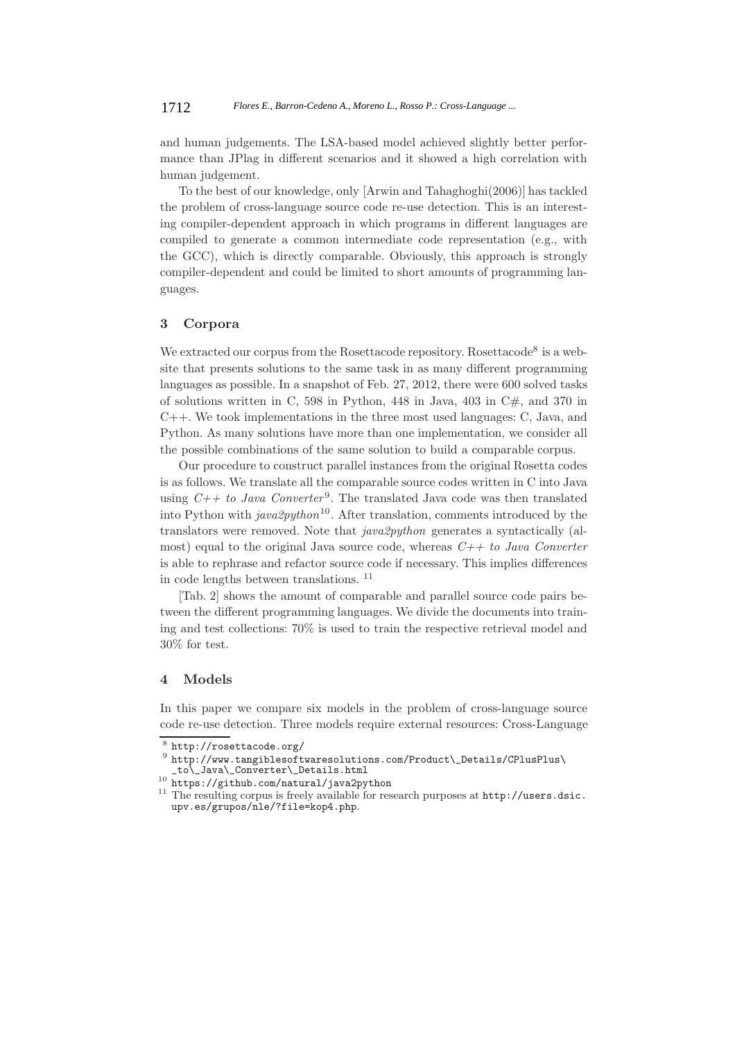and human judgements. The LSA-based model achieved slightly better performance than JPlag in different scenarios and it showed a high correlation with human judgement.

To the best of our knowledge, only [Arwin and Tahaghoghi(2006)] has tackled the problem of cross-language source code re-use detection. This is an interesting compiler-dependent approach in which programs in different languages are compiled to generate a common intermediate code representation (e.g., with the GCC), which is directly comparable. Obviously, this approach is strongly compiler-dependent and could be limited to short amounts of programming languages.

#### **3 Corpora**

We extracted our corpus from the Rosettacode repository. Rosettacode<sup>8</sup> is a website that presents solutions to the same task in as many different programming languages as possible. In a snapshot of Feb. 27, 2012, there were 600 solved tasks of solutions written in C, 598 in Python, 448 in Java, 403 in  $C#$ , and 370 in C++. We took implementations in the three most used languages: C, Java, and Python. As many solutions have more than one implementation, we consider all the possible combinations of the same solution to build a comparable corpus.

Our procedure to construct parallel instances from the original Rosetta codes is as follows. We translate all the comparable source codes written in C into Java using  $C++$  to Java Converter<sup>9</sup>. The translated Java code was then translated into Python with *java2python*<sup>10</sup>. After translation, comments introduced by the translators were removed. Note that *java2python* generates a syntactically (almost) equal to the original Java source code, whereas *C++ to Java Converter* is able to rephrase and refactor source code if necessary. This implies differences in code lengths between translations. <sup>11</sup>

[Tab. 2] shows the amount of comparable and parallel source code pairs between the different programming languages. We divide the documents into training and test collections: 70% is used to train the respective retrieval model and 30% for test.

#### **4 Models**

In this paper we compare six models in the problem of cross-language source code re-use detection. Three models require external resources: Cross-Language

<sup>%</sup> http://rosettacode.org/<br>
9 http://www.tangiblesoftwaresolutions.com/Product\\_Details/CPlusPlus\<br>
\_to\\_Java\\_Converter\\_Details.html<br>
<sup>10</sup> https://github.com/natural/java2python

 $^{11}$  The resulting corpus is freely available for research purposes at  ${\tt http://users.dsic.}$ upv.es/grupos/nle/?file=kop4.php.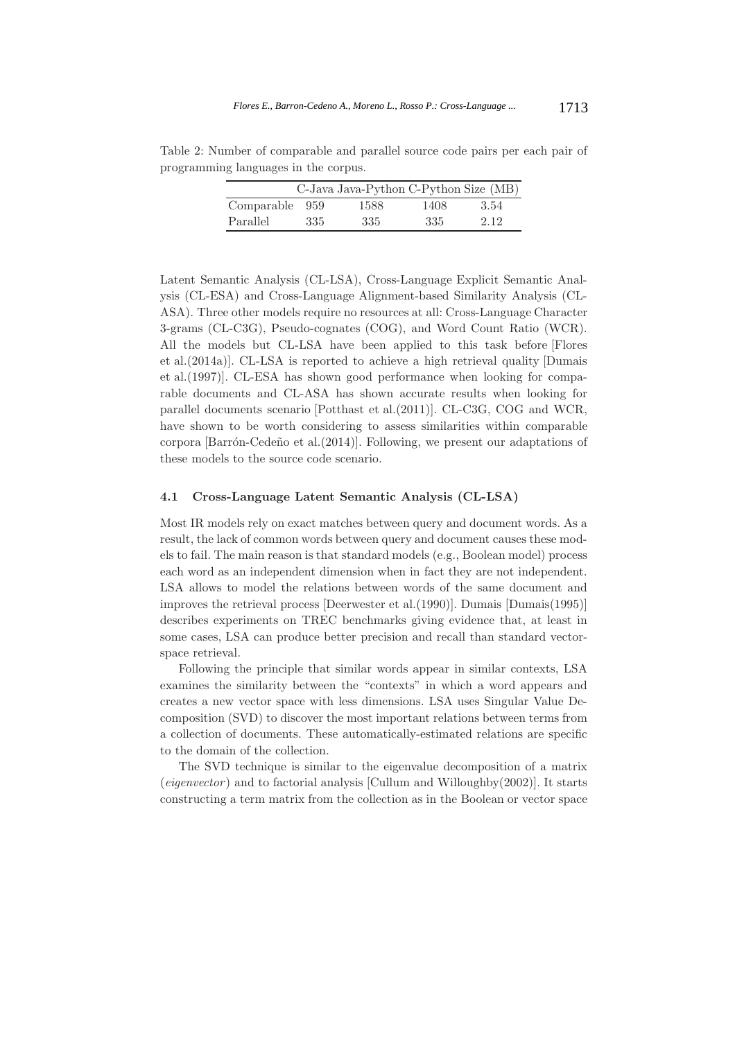Table 2: Number of comparable and parallel source code pairs per each pair of programming languages in the corpus.

| C-Java Java-Python C-Python Size (MB) |     |      |      |      |  |  |  |
|---------------------------------------|-----|------|------|------|--|--|--|
| Comparable 959                        |     | 1588 | 1408 | 3.54 |  |  |  |
| Parallel                              | 335 | 335  | 335  | 2.12 |  |  |  |

Latent Semantic Analysis (CL-LSA), Cross-Language Explicit Semantic Analysis (CL-ESA) and Cross-Language Alignment-based Similarity Analysis (CL-ASA). Three other models require no resources at all: Cross-Language Character 3-grams (CL-C3G), Pseudo-cognates (COG), and Word Count Ratio (WCR). All the models but CL-LSA have been applied to this task before [Flores et al.(2014a)]. CL-LSA is reported to achieve a high retrieval quality [Dumais et al.(1997)]. CL-ESA has shown good performance when looking for comparable documents and CL-ASA has shown accurate results when looking for parallel documents scenario [Potthast et al.(2011)]. CL-C3G, COG and WCR, have shown to be worth considering to assess similarities within comparable corpora  $\lbrack$ Barrón-Cedeño et al. $(2014)$ . Following, we present our adaptations of these models to the source code scenario.

#### **4.1 Cross-Language Latent Semantic Analysis (CL-LSA)**

Most IR models rely on exact matches between query and document words. As a result, the lack of common words between query and document causes these models to fail. The main reason is that standard models (e.g., Boolean model) process each word as an independent dimension when in fact they are not independent. LSA allows to model the relations between words of the same document and improves the retrieval process [Deerwester et al.(1990)]. Dumais [Dumais(1995)] describes experiments on TREC benchmarks giving evidence that, at least in some cases, LSA can produce better precision and recall than standard vectorspace retrieval.

Following the principle that similar words appear in similar contexts, LSA examines the similarity between the "contexts" in which a word appears and creates a new vector space with less dimensions. LSA uses Singular Value Decomposition (SVD) to discover the most important relations between terms from a collection of documents. These automatically-estimated relations are specific to the domain of the collection.

The SVD technique is similar to the eigenvalue decomposition of a matrix (*eigenvector* ) and to factorial analysis [Cullum and Willoughby(2002)]. It starts constructing a term matrix from the collection as in the Boolean or vector space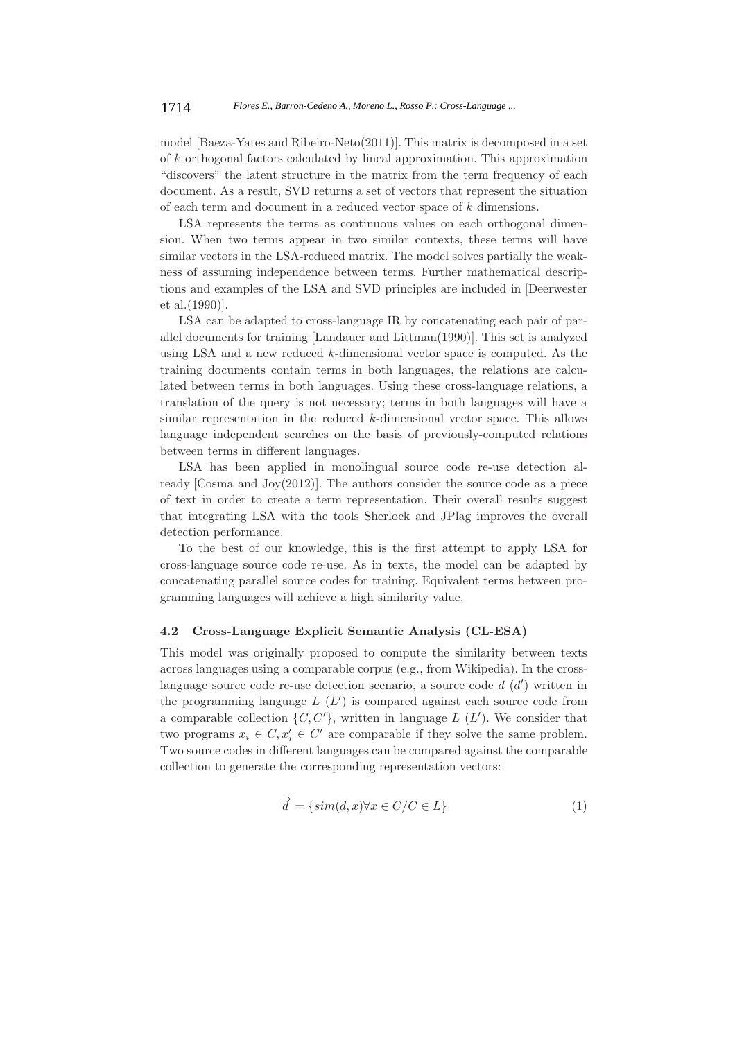model [Baeza-Yates and Ribeiro-Neto(2011)]. This matrix is decomposed in a set of k orthogonal factors calculated by lineal approximation. This approximation "discovers" the latent structure in the matrix from the term frequency of each document. As a result, SVD returns a set of vectors that represent the situation of each term and document in a reduced vector space of k dimensions.

LSA represents the terms as continuous values on each orthogonal dimension. When two terms appear in two similar contexts, these terms will have similar vectors in the LSA-reduced matrix. The model solves partially the weakness of assuming independence between terms. Further mathematical descriptions and examples of the LSA and SVD principles are included in [Deerwester et al.(1990)].

LSA can be adapted to cross-language IR by concatenating each pair of parallel documents for training [Landauer and Littman(1990)]. This set is analyzed using LSA and a new reduced k-dimensional vector space is computed. As the training documents contain terms in both languages, the relations are calculated between terms in both languages. Using these cross-language relations, a translation of the query is not necessary; terms in both languages will have a similar representation in the reduced k-dimensional vector space. This allows language independent searches on the basis of previously-computed relations between terms in different languages.

LSA has been applied in monolingual source code re-use detection already [Cosma and Joy(2012)]. The authors consider the source code as a piece of text in order to create a term representation. Their overall results suggest that integrating LSA with the tools Sherlock and JPlag improves the overall detection performance.

To the best of our knowledge, this is the first attempt to apply LSA for cross-language source code re-use. As in texts, the model can be adapted by concatenating parallel source codes for training. Equivalent terms between programming languages will achieve a high similarity value.

#### **4.2 Cross-Language Explicit Semantic Analysis (CL-ESA)**

This model was originally proposed to compute the similarity between texts across languages using a comparable corpus (e.g., from Wikipedia). In the crosslanguage source code re-use detection scenario, a source code  $d(d')$  written in the programming language  $L(L')$  is compared against each source code from a comparable collection  $\{C, C'\}$ , written in language  $L(L')$ . We consider that two programs  $x_i \in C, x'_i \in C'$  are comparable if they solve the same problem. Two source codes in different languages can be compared against the comparable collection to generate the corresponding representation vectors:

$$
\overrightarrow{d} = \{ \operatorname{sim}(d, x) \forall x \in C/C \in L \}
$$
\n(1)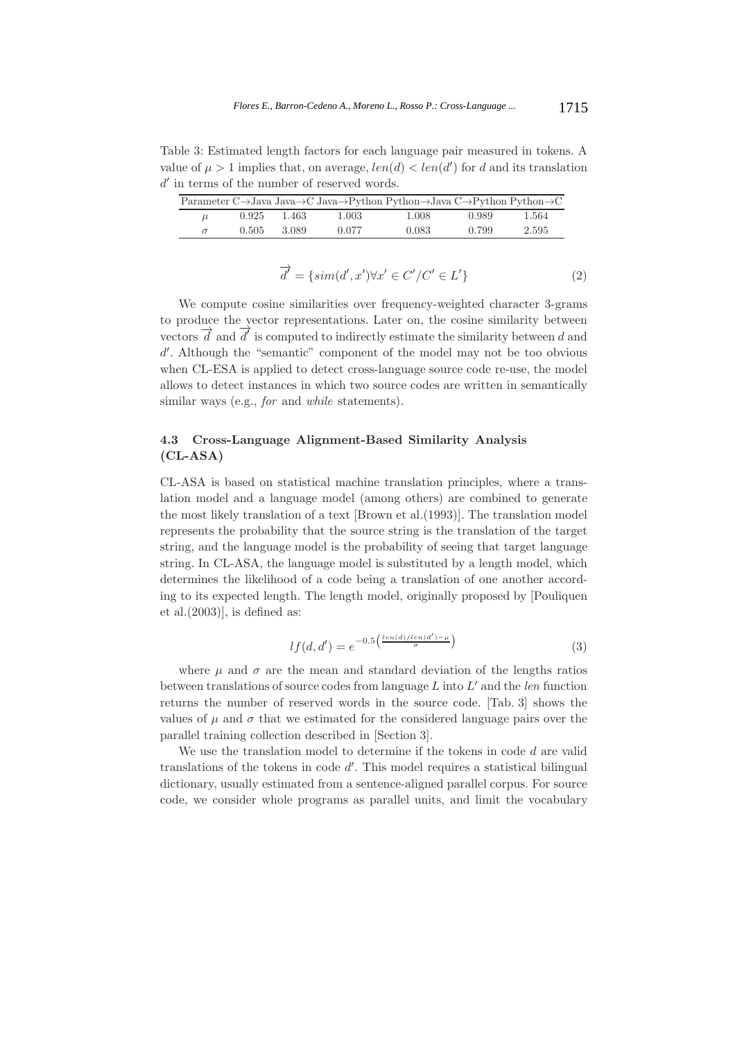Table 3: Estimated length factors for each language pair measured in tokens. A value of  $\mu > 1$  implies that, on average,  $len(d) < len(d')$  for d and its translation  $d'$  in terms of the number of reserved words.

| Parameter C $\rightarrow$ Java Java $\rightarrow$ C Java $\rightarrow$ Python Python $\rightarrow$ Java C $\rightarrow$ Python Python $\rightarrow$ C |       |       |       |       |       |       |  |
|-------------------------------------------------------------------------------------------------------------------------------------------------------|-------|-------|-------|-------|-------|-------|--|
| $\mu$                                                                                                                                                 | 0.925 | 1.463 | 1.003 | 1.008 | 0.989 | 1.564 |  |
|                                                                                                                                                       | 0.505 | 3.089 | 0.077 | 0.083 | 0.799 | 2.595 |  |

$$
\overrightarrow{d'} = \{ \operatorname{sim}(d', x') \forall x' \in C'/C' \in L' \}
$$
\n<sup>(2)</sup>

We compute cosine similarities over frequency-weighted character 3-grams to produce the vector representations. Later on, the cosine similarity between vectors  $\overrightarrow{d}$  and  $\overrightarrow{d'}$  is computed to indirectly estimate the similarity between d and d'. Although the "semantic" component of the model may not be too obvious when CL-ESA is applied to detect cross-language source code re-use, the model allows to detect instances in which two source codes are written in semantically similar ways (e.g., *for* and *while* statements).

# **4.3 Cross-Language Alignment-Based Similarity Analysis (CL-ASA)**

CL-ASA is based on statistical machine translation principles, where a translation model and a language model (among others) are combined to generate the most likely translation of a text [Brown et al.(1993)]. The translation model represents the probability that the source string is the translation of the target string, and the language model is the probability of seeing that target language string. In CL-ASA, the language model is substituted by a length model, which determines the likelihood of a code being a translation of one another according to its expected length. The length model, originally proposed by [Pouliquen et al.(2003)], is defined as:

$$
lf(d, d') = e^{-0.5\left(\frac{len(d)/len(d') - \mu}{\sigma}\right)}
$$
\n
$$
(3)
$$

where  $\mu$  and  $\sigma$  are the mean and standard deviation of the lengths ratios between translations of source codes from language L into L' and the *len* function returns the number of reserved words in the source code. [Tab. 3] shows the values of  $\mu$  and  $\sigma$  that we estimated for the considered language pairs over the parallel training collection described in [Section 3].

We use the translation model to determine if the tokens in code d are valid translations of the tokens in code  $d'$ . This model requires a statistical bilingual dictionary, usually estimated from a sentence-aligned parallel corpus. For source code, we consider whole programs as parallel units, and limit the vocabulary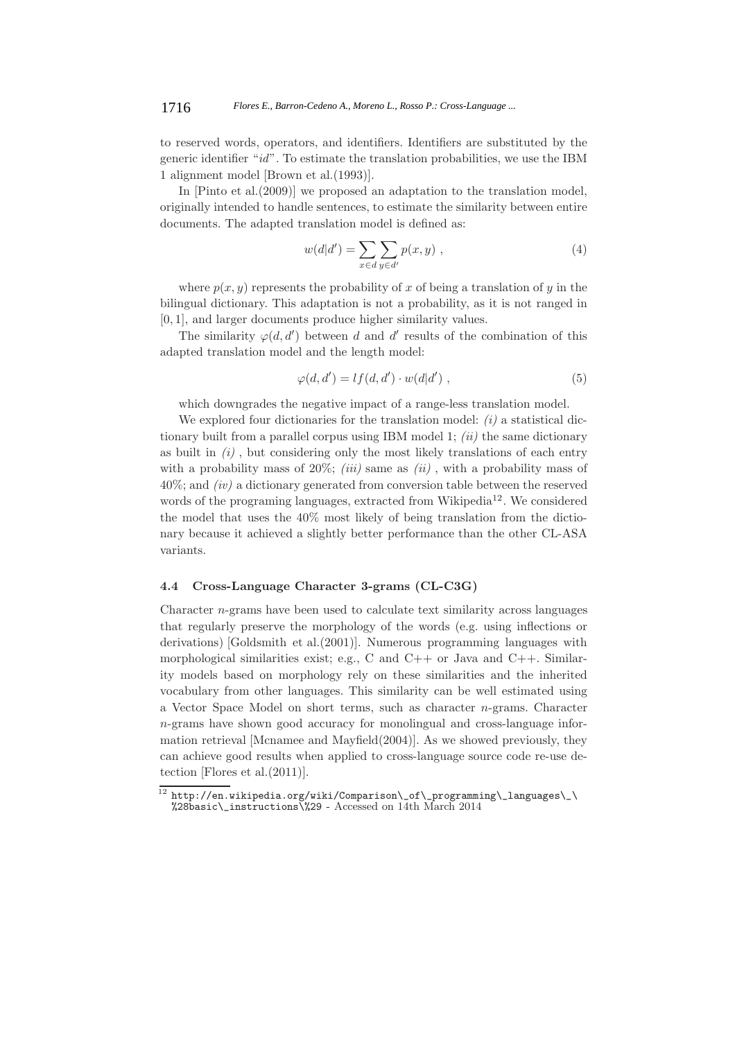to reserved words, operators, and identifiers. Identifiers are substituted by the generic identifier "*id*". To estimate the translation probabilities, we use the IBM 1 alignment model [Brown et al.(1993)].

In [Pinto et al.(2009)] we proposed an adaptation to the translation model, originally intended to handle sentences, to estimate the similarity between entire documents. The adapted translation model is defined as:

$$
w(d|d') = \sum_{x \in d} \sum_{y \in d'} p(x, y) , \qquad (4)
$$

where  $p(x, y)$  represents the probability of x of being a translation of y in the bilingual dictionary. This adaptation is not a probability, as it is not ranged in [0, 1], and larger documents produce higher similarity values.

The similarity  $\varphi(d, d')$  between d and d' results of the combination of this adapted translation model and the length model:

$$
\varphi(d, d') = l f(d, d') \cdot w(d|d') , \qquad (5)
$$

which downgrades the negative impact of a range-less translation model.

We explored four dictionaries for the translation model: *(i)* a statistical dictionary built from a parallel corpus using IBM model 1; *(ii)* the same dictionary as built in *(i)* , but considering only the most likely translations of each entry with a probability mass of 20%; *(iii)* same as *(ii)*, with a probability mass of 40%; and *(iv)* a dictionary generated from conversion table between the reserved words of the programing languages, extracted from Wikipedia<sup>12</sup>. We considered the model that uses the 40% most likely of being translation from the dictionary because it achieved a slightly better performance than the other CL-ASA variants.

#### **4.4 Cross-Language Character 3-grams (CL-C3G)**

Character  $n$ -grams have been used to calculate text similarity across languages that regularly preserve the morphology of the words (e.g. using inflections or derivations) [Goldsmith et al.(2001)]. Numerous programming languages with morphological similarities exist; e.g., C and  $C++$  or Java and  $C++$ . Similarity models based on morphology rely on these similarities and the inherited vocabulary from other languages. This similarity can be well estimated using a Vector Space Model on short terms, such as character n-grams. Character n-grams have shown good accuracy for monolingual and cross-language information retrieval [Mcnamee and Mayfield(2004)]. As we showed previously, they can achieve good results when applied to cross-language source code re-use detection [Flores et al.(2011)].

 $^{12}$  http://en.wikipedia.org/wiki/Comparison\\_of\\_programming\\_languages\\_\ %28basic\\_instructions\%29 - Accessed on 14th March 2014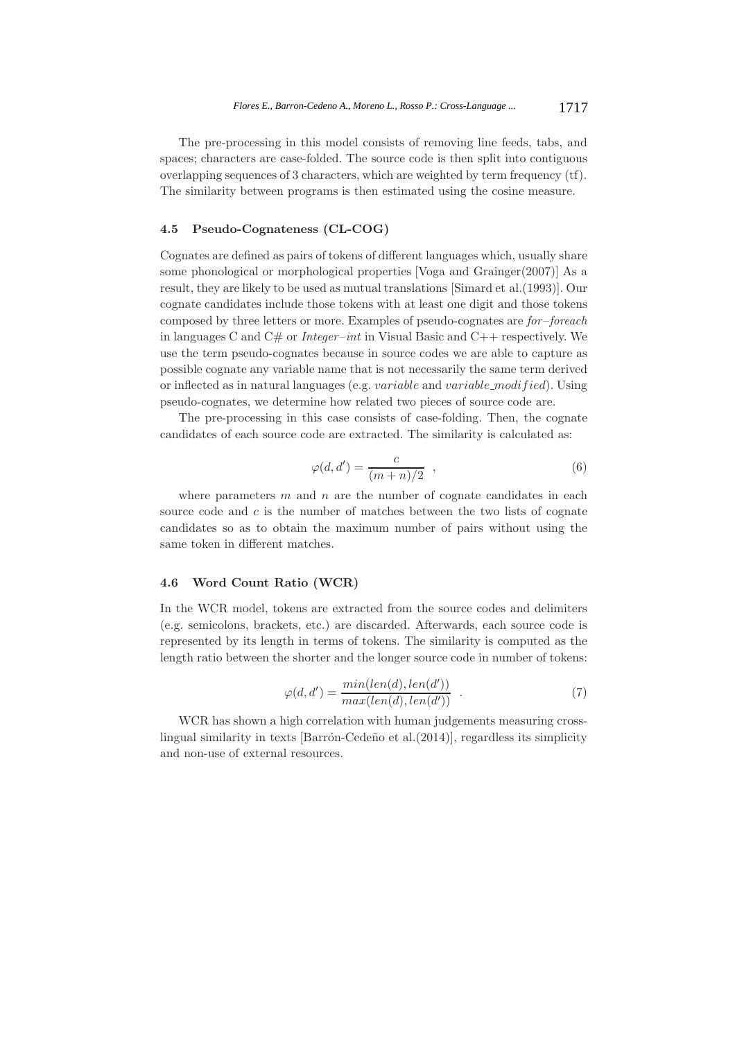The pre-processing in this model consists of removing line feeds, tabs, and spaces; characters are case-folded. The source code is then split into contiguous overlapping sequences of 3 characters, which are weighted by term frequency (tf). The similarity between programs is then estimated using the cosine measure.

# **4.5 Pseudo-Cognateness (CL-COG)**

Cognates are defined as pairs of tokens of different languages which, usually share some phonological or morphological properties [Voga and Grainger(2007)] As a result, they are likely to be used as mutual translations [Simard et al.(1993)]. Our cognate candidates include those tokens with at least one digit and those tokens composed by three letters or more. Examples of pseudo-cognates are *for*–*foreach* in languages C and C# or *Integer*–*int* in Visual Basic and C++ respectively. We use the term pseudo-cognates because in source codes we are able to capture as possible cognate any variable name that is not necessarily the same term derived or inflected as in natural languages (e.g. variable and variable modif ied). Using pseudo-cognates, we determine how related two pieces of source code are.

The pre-processing in this case consists of case-folding. Then, the cognate candidates of each source code are extracted. The similarity is calculated as:

$$
\varphi(d, d') = \frac{c}{(m+n)/2} \quad , \tag{6}
$$

where parameters  $m$  and  $n$  are the number of cognate candidates in each source code and  $c$  is the number of matches between the two lists of cognate candidates so as to obtain the maximum number of pairs without using the same token in different matches.

#### **4.6 Word Count Ratio (WCR)**

In the WCR model, tokens are extracted from the source codes and delimiters (e.g. semicolons, brackets, etc.) are discarded. Afterwards, each source code is represented by its length in terms of tokens. The similarity is computed as the length ratio between the shorter and the longer source code in number of tokens:

$$
\varphi(d, d') = \frac{\min(\text{len}(d), \text{len}(d'))}{\max(\text{len}(d), \text{len}(d'))} . \tag{7}
$$

WCR has shown a high correlation with human judgements measuring crosslingual similarity in texts [Barrón-Cedeño et al. $(2014)$ ], regardless its simplicity and non-use of external resources.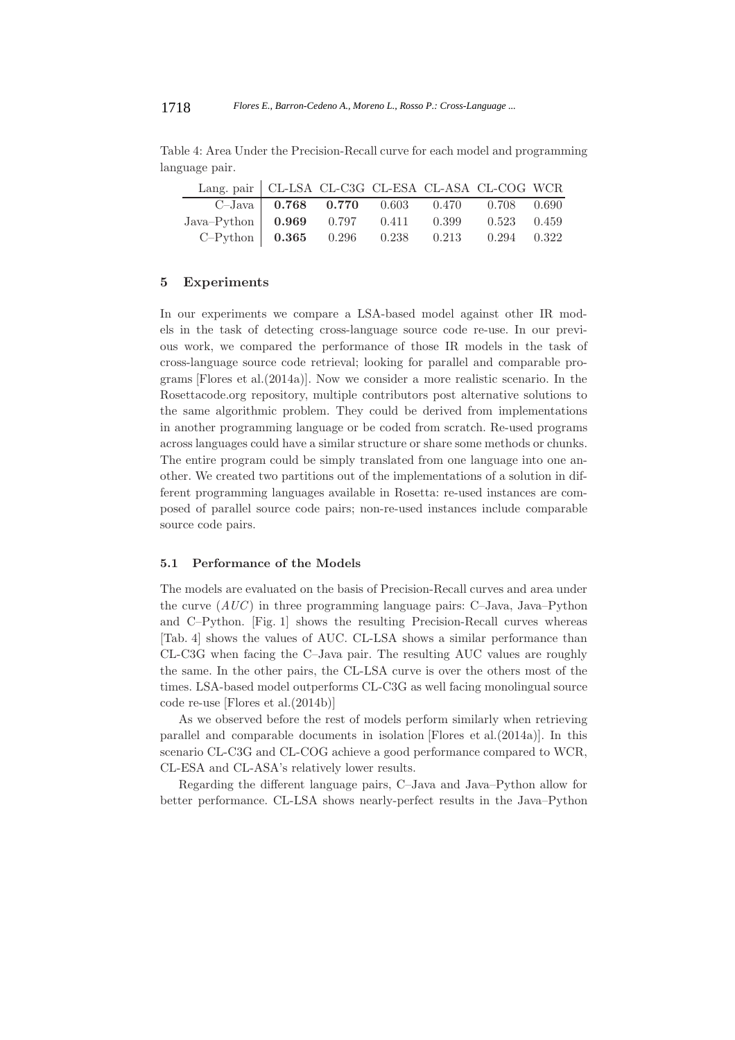Table 4: Area Under the Precision-Recall curve for each model and programming language pair.

| Lang. pair   CL-LSA CL-C3G CL-ESA CL-ASA CL-COG WCR |  |  |                                                          |  |
|-----------------------------------------------------|--|--|----------------------------------------------------------|--|
|                                                     |  |  | C-Java   $0.768$ $0.770$ $0.603$ $0.470$ $0.708$ $0.690$ |  |
| Java-Python 0.969 0.797 0.411 0.399 0.523 0.459     |  |  |                                                          |  |
| C-Python 0.365 0.296 0.238 0.213 0.294 0.322        |  |  |                                                          |  |

#### **5 Experiments**

In our experiments we compare a LSA-based model against other IR models in the task of detecting cross-language source code re-use. In our previous work, we compared the performance of those IR models in the task of cross-language source code retrieval; looking for parallel and comparable programs [Flores et al.(2014a)]. Now we consider a more realistic scenario. In the Rosettacode.org repository, multiple contributors post alternative solutions to the same algorithmic problem. They could be derived from implementations in another programming language or be coded from scratch. Re-used programs across languages could have a similar structure or share some methods or chunks. The entire program could be simply translated from one language into one another. We created two partitions out of the implementations of a solution in different programming languages available in Rosetta: re-used instances are composed of parallel source code pairs; non-re-used instances include comparable source code pairs.

#### **5.1 Performance of the Models**

The models are evaluated on the basis of Precision-Recall curves and area under the curve (*AUC*) in three programming language pairs: C–Java, Java–Python and C–Python. [Fig. 1] shows the resulting Precision-Recall curves whereas [Tab. 4] shows the values of AUC. CL-LSA shows a similar performance than CL-C3G when facing the C–Java pair. The resulting AUC values are roughly the same. In the other pairs, the CL-LSA curve is over the others most of the times. LSA-based model outperforms CL-C3G as well facing monolingual source code re-use [Flores et al.(2014b)]

As we observed before the rest of models perform similarly when retrieving parallel and comparable documents in isolation [Flores et al.(2014a)]. In this scenario CL-C3G and CL-COG achieve a good performance compared to WCR, CL-ESA and CL-ASA's relatively lower results.

Regarding the different language pairs, C–Java and Java–Python allow for better performance. CL-LSA shows nearly-perfect results in the Java–Python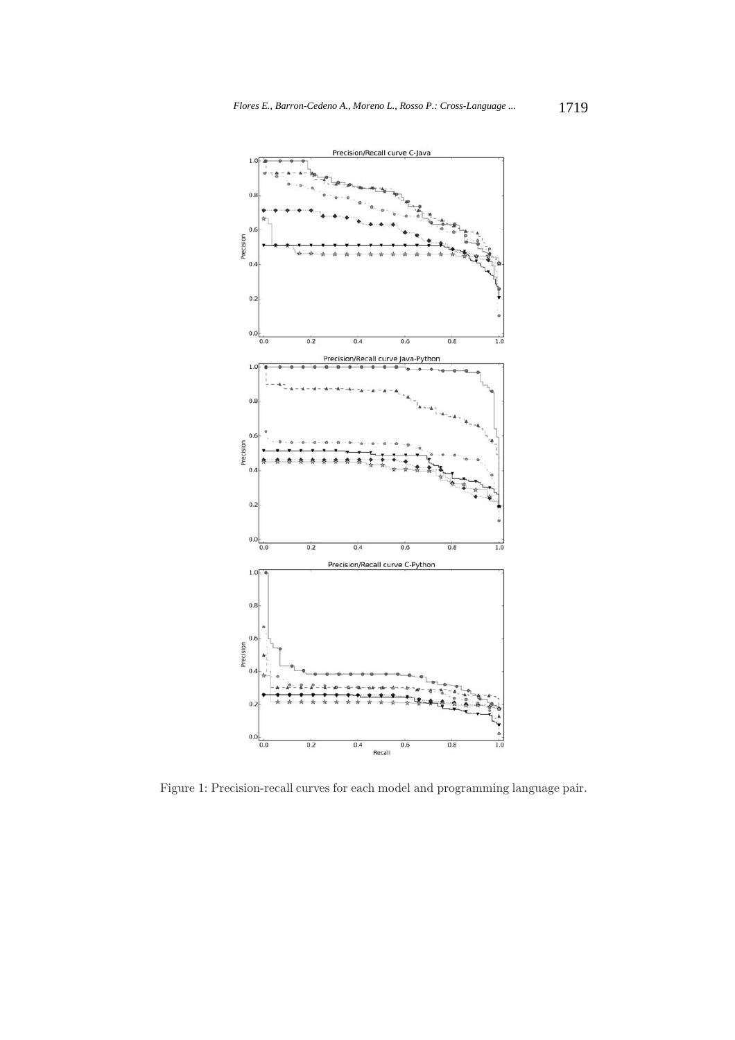

Figure 1: Precision-recall curves for each model and programming language pair.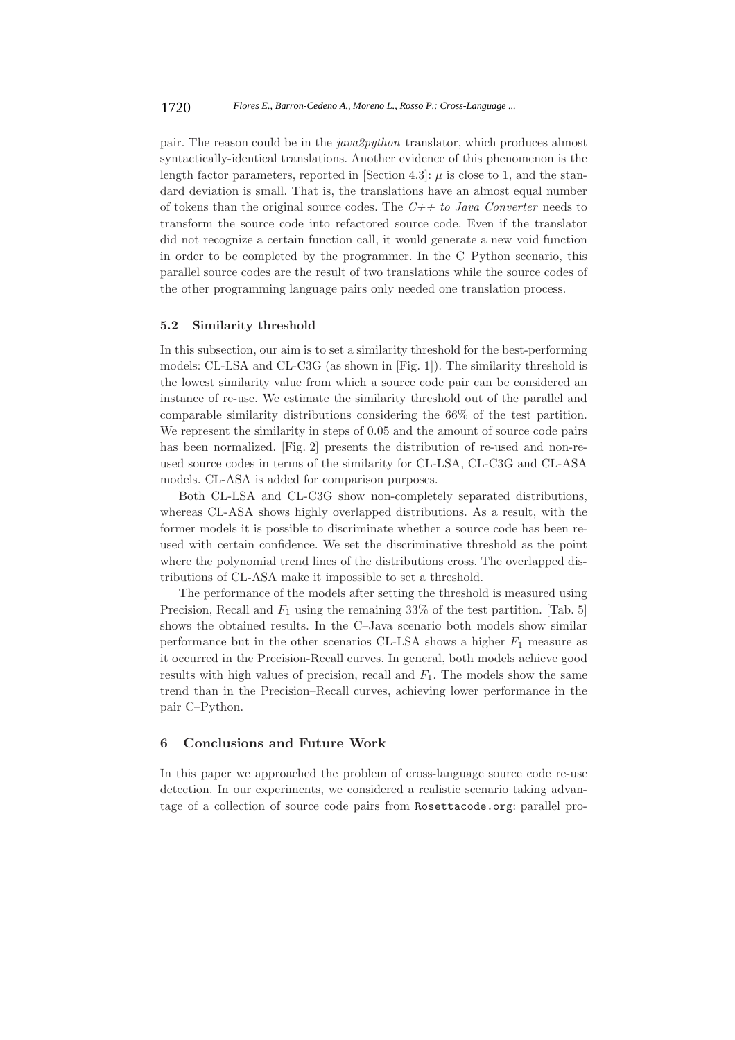pair. The reason could be in the *java2python* translator, which produces almost syntactically-identical translations. Another evidence of this phenomenon is the length factor parameters, reported in [Section 4.3]:  $\mu$  is close to 1, and the standard deviation is small. That is, the translations have an almost equal number of tokens than the original source codes. The *C++ to Java Converter* needs to transform the source code into refactored source code. Even if the translator did not recognize a certain function call, it would generate a new void function in order to be completed by the programmer. In the C–Python scenario, this parallel source codes are the result of two translations while the source codes of the other programming language pairs only needed one translation process.

#### **5.2 Similarity threshold**

In this subsection, our aim is to set a similarity threshold for the best-performing models: CL-LSA and CL-C3G (as shown in [Fig. 1]). The similarity threshold is the lowest similarity value from which a source code pair can be considered an instance of re-use. We estimate the similarity threshold out of the parallel and comparable similarity distributions considering the 66% of the test partition. We represent the similarity in steps of 0.05 and the amount of source code pairs has been normalized. [Fig. 2] presents the distribution of re-used and non-reused source codes in terms of the similarity for CL-LSA, CL-C3G and CL-ASA models. CL-ASA is added for comparison purposes.

Both CL-LSA and CL-C3G show non-completely separated distributions, whereas CL-ASA shows highly overlapped distributions. As a result, with the former models it is possible to discriminate whether a source code has been reused with certain confidence. We set the discriminative threshold as the point where the polynomial trend lines of the distributions cross. The overlapped distributions of CL-ASA make it impossible to set a threshold.

The performance of the models after setting the threshold is measured using Precision, Recall and  $F_1$  using the remaining 33% of the test partition. [Tab. 5] shows the obtained results. In the C–Java scenario both models show similar performance but in the other scenarios CL-LSA shows a higher  $F_1$  measure as it occurred in the Precision-Recall curves. In general, both models achieve good results with high values of precision, recall and  $F_1$ . The models show the same trend than in the Precision–Recall curves, achieving lower performance in the pair C–Python.

# **6 Conclusions and Future Work**

In this paper we approached the problem of cross-language source code re-use detection. In our experiments, we considered a realistic scenario taking advantage of a collection of source code pairs from Rosettacode.org: parallel pro-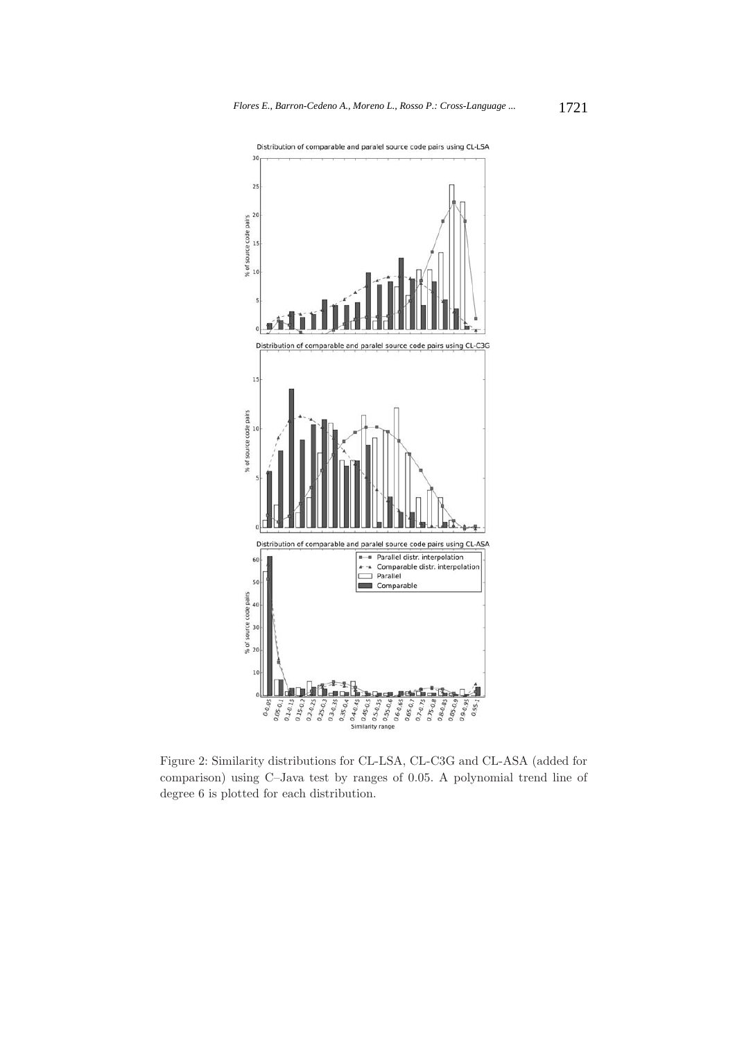

Figure 2: Similarity distributions for CL-LSA, CL-C3G and CL-ASA (added for comparison) using C–Java test by ranges of 0.05. A polynomial trend line of degree 6 is plotted for each distribution.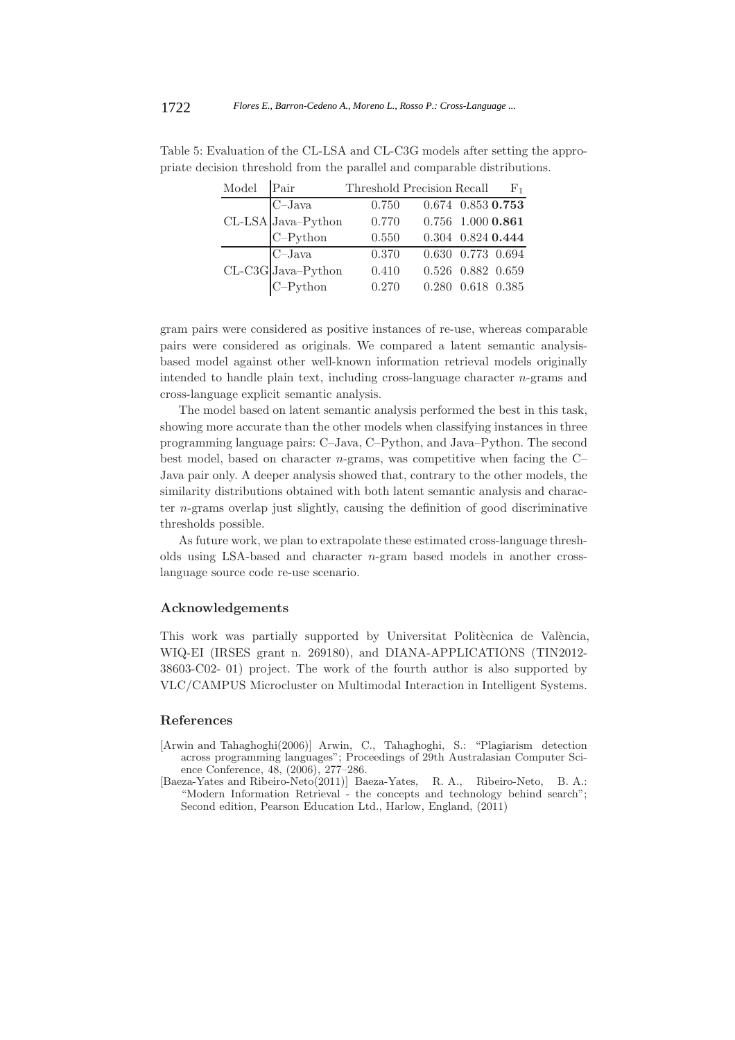|                                                                                                                          | Model Pair |                                                                                                 | Threshold Precision Recall $F_1$ |                   |  |
|--------------------------------------------------------------------------------------------------------------------------|------------|-------------------------------------------------------------------------------------------------|----------------------------------|-------------------|--|
| $\begin{tabular}{ c c } \hline \multicolumn{1}{ c }{C–Java} \\ CL-LSA & Java–Python \\ C–Python \\ \hline \end{tabular}$ |            |                                                                                                 | 0.750                            | 0.674 0.853 0.753 |  |
|                                                                                                                          |            |                                                                                                 | 0.770                            | 0.756 1.000 0.861 |  |
|                                                                                                                          |            |                                                                                                 | 0.550                            | 0.304 0.824 0.444 |  |
|                                                                                                                          |            | $\begin{tabular}{c} \multicolumn{2}{c}{C–Java} \\ CL-C3G Java–Python \\ C–Python \end{tabular}$ | 0.370                            | 0.630 0.773 0.694 |  |
|                                                                                                                          |            |                                                                                                 | 0.410                            | 0.526 0.882 0.659 |  |
|                                                                                                                          |            |                                                                                                 | 0.270                            | 0.280 0.618 0.385 |  |

Table 5: Evaluation of the CL-LSA and CL-C3G models after setting the appropriate decision threshold from the parallel and comparable distributions.

gram pairs were considered as positive instances of re-use, whereas comparable pairs were considered as originals. We compared a latent semantic analysisbased model against other well-known information retrieval models originally intended to handle plain text, including cross-language character n-grams and cross-language explicit semantic analysis.

The model based on latent semantic analysis performed the best in this task, showing more accurate than the other models when classifying instances in three programming language pairs: C–Java, C–Python, and Java–Python. The second best model, based on character  $n$ -grams, was competitive when facing the  $C-$ Java pair only. A deeper analysis showed that, contrary to the other models, the similarity distributions obtained with both latent semantic analysis and character n-grams overlap just slightly, causing the definition of good discriminative thresholds possible.

As future work, we plan to extrapolate these estimated cross-language thresholds using LSA-based and character n-gram based models in another crosslanguage source code re-use scenario.

#### **Acknowledgements**

This work was partially supported by Universitat Politècnica de València, WIQ-EI (IRSES grant n. 269180), and DIANA-APPLICATIONS (TIN2012- 38603-C02- 01) project. The work of the fourth author is also supported by VLC/CAMPUS Microcluster on Multimodal Interaction in Intelligent Systems.

#### **References**

- [Arwin and Tahaghoghi(2006)] Arwin, C., Tahaghoghi, S.: "Plagiarism detection across programming languages"; Proceedings of 29th Australasian Computer Science Conference, 48, (2006), 277–286.
- [Baeza-Yates and Ribeiro-Neto(2011)] Baeza-Yates, R. A., Ribeiro-Neto, B. A.: "Modern Information Retrieval - the concepts and technology behind search"; Second edition, Pearson Education Ltd., Harlow, England, (2011)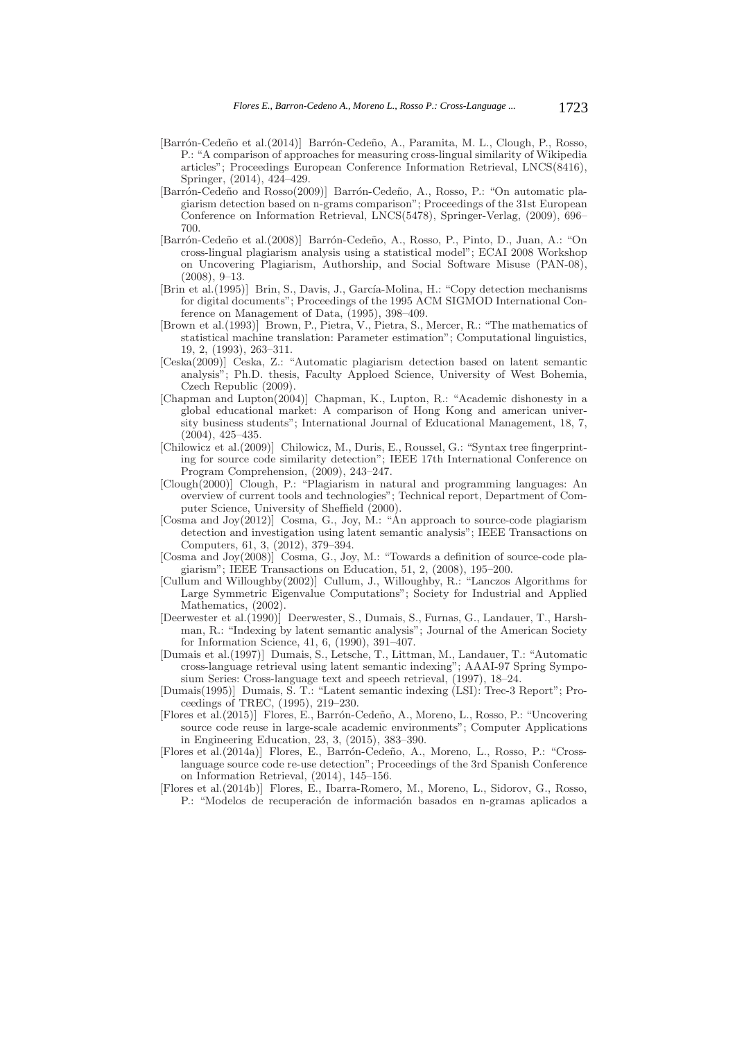- [Barrón-Cedeño et al.(2014)] Barrón-Cedeño, A., Paramita, M. L., Clough, P., Rosso, P.: "A comparison of approaches for measuring cross-lingual similarity of Wikipedia articles"; Proceedings European Conference Information Retrieval, LNCS(8416), Springer, (2014), 424–429.
- [Barrón-Cedeño and Rosso(2009)] Barrón-Cedeño, A., Rosso, P.: "On automatic plagiarism detection based on n-grams comparison"; Proceedings of the 31st European Conference on Information Retrieval, LNCS(5478), Springer-Verlag, (2009), 696– 700.
- [Barrón-Cedeño et al.(2008)] Barrón-Cedeño, A., Rosso, P., Pinto, D., Juan, A.: "On cross-lingual plagiarism analysis using a statistical model"; ECAI 2008 Workshop on Uncovering Plagiarism, Authorship, and Social Software Misuse (PAN-08), (2008), 9–13.
- [Brin et al.(1995)] Brin, S., Davis, J., García-Molina, H.: "Copy detection mechanisms for digital documents"; Proceedings of the 1995 ACM SIGMOD International Conference on Management of Data, (1995), 398–409.
- [Brown et al.(1993)] Brown, P., Pietra, V., Pietra, S., Mercer, R.: "The mathematics of statistical machine translation: Parameter estimation"; Computational linguistics, 19, 2, (1993), 263–311.
- [Ceska(2009)] Ceska, Z.: "Automatic plagiarism detection based on latent semantic analysis"; Ph.D. thesis, Faculty Apploed Science, University of West Bohemia, Czech Republic (2009).
- [Chapman and Lupton(2004)] Chapman, K., Lupton, R.: "Academic dishonesty in a global educational market: A comparison of Hong Kong and american university business students"; International Journal of Educational Management, 18, 7, (2004), 425–435.
- [Chilowicz et al.(2009)] Chilowicz, M., Duris, E., Roussel, G.: "Syntax tree fingerprinting for source code similarity detection"; IEEE 17th International Conference on Program Comprehension, (2009), 243–247.
- [Clough(2000)] Clough, P.: "Plagiarism in natural and programming languages: An overview of current tools and technologies"; Technical report, Department of Computer Science, University of Sheffield (2000).
- [Cosma and Joy(2012)] Cosma, G., Joy, M.: "An approach to source-code plagiarism detection and investigation using latent semantic analysis"; IEEE Transactions on Computers, 61, 3, (2012), 379–394.
- [Cosma and Joy(2008)] Cosma, G., Joy, M.: "Towards a definition of source-code plagiarism"; IEEE Transactions on Education, 51, 2, (2008), 195–200.
- [Cullum and Willoughby(2002)] Cullum, J., Willoughby, R.: "Lanczos Algorithms for Large Symmetric Eigenvalue Computations"; Society for Industrial and Applied Mathematics, (2002).
- [Deerwester et al.(1990)] Deerwester, S., Dumais, S., Furnas, G., Landauer, T., Harshman, R.: "Indexing by latent semantic analysis"; Journal of the American Society for Information Science, 41, 6, (1990), 391–407.
- [Dumais et al.(1997)] Dumais, S., Letsche, T., Littman, M., Landauer, T.: "Automatic cross-language retrieval using latent semantic indexing"; AAAI-97 Spring Symposium Series: Cross-language text and speech retrieval, (1997), 18–24.
- [Dumais(1995)] Dumais, S. T.: "Latent semantic indexing (LSI): Trec-3 Report"; Proceedings of TREC, (1995), 219–230.
- [Flores et al.(2015)] Flores, E., Barrón-Cedeño, A., Moreno, L., Rosso, P.: "Uncovering source code reuse in large-scale academic environments"; Computer Applications in Engineering Education, 23, 3, (2015), 383–390.
- [Flores et al.(2014a)] Flores, E., Barrón-Cedeño, A., Moreno, L., Rosso, P.: "Crosslanguage source code re-use detection"; Proceedings of the 3rd Spanish Conference on Information Retrieval, (2014), 145–156.
- [Flores et al.(2014b)] Flores, E., Ibarra-Romero, M., Moreno, L., Sidorov, G., Rosso, P.: "Modelos de recuperación de información basados en n-gramas aplicados a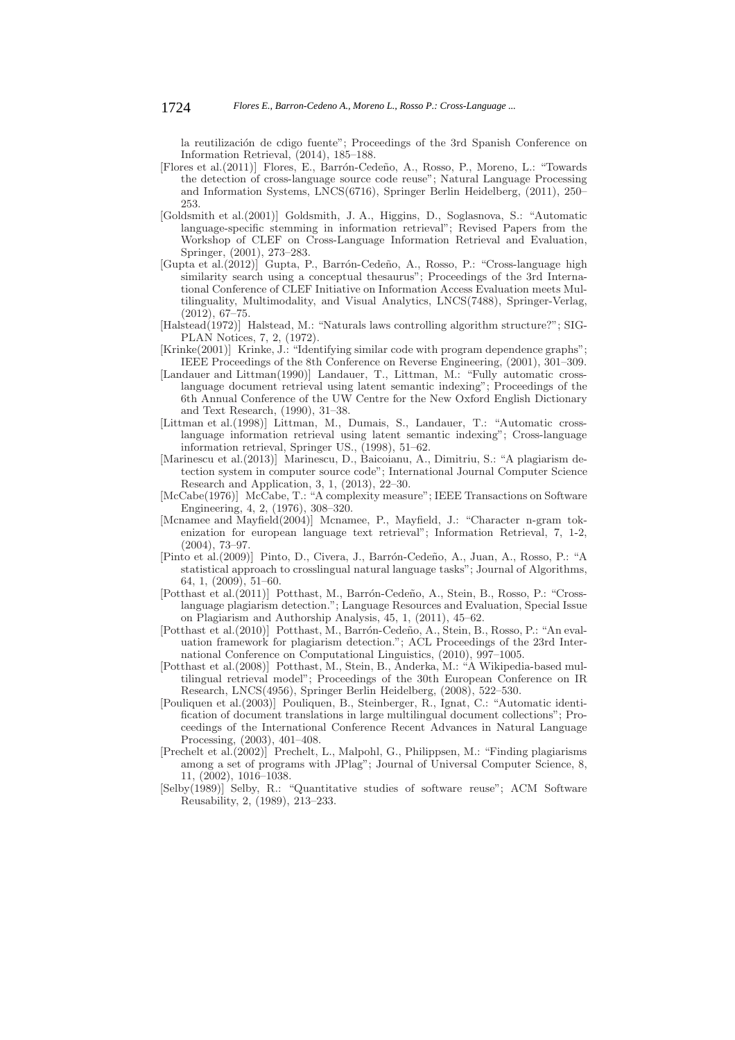la reutilización de cdigo fuente"; Proceedings of the 3rd Spanish Conference on Information Retrieval, (2014), 185–188.

- [Flores et al.(2011)] Flores, E., Barr´on-Cede˜no, A., Rosso, P., Moreno, L.: "Towards the detection of cross-language source code reuse"; Natural Language Processing and Information Systems, LNCS(6716), Springer Berlin Heidelberg, (2011), 250– 253.
- [Goldsmith et al.(2001)] Goldsmith, J. A., Higgins, D., Soglasnova, S.: "Automatic language-specific stemming in information retrieval"; Revised Papers from the Workshop of CLEF on Cross-Language Information Retrieval and Evaluation, Springer, (2001), 273–283.
- [Gupta et al.(2012)] Gupta, P., Barrón-Cedeño, A., Rosso, P.: "Cross-language high similarity search using a conceptual thesaurus"; Proceedings of the 3rd International Conference of CLEF Initiative on Information Access Evaluation meets Multilinguality, Multimodality, and Visual Analytics, LNCS(7488), Springer-Verlag, (2012), 67–75.
- [Halstead(1972)] Halstead, M.: "Naturals laws controlling algorithm structure?"; SIG-PLAN Notices, 7, 2, (1972).
- [Krinke(2001)] Krinke, J.: "Identifying similar code with program dependence graphs"; IEEE Proceedings of the 8th Conference on Reverse Engineering, (2001), 301–309.
- [Landauer and Littman(1990)] Landauer, T., Littman, M.: "Fully automatic crosslanguage document retrieval using latent semantic indexing"; Proceedings of the 6th Annual Conference of the UW Centre for the New Oxford English Dictionary and Text Research, (1990), 31–38.
- [Littman et al.(1998)] Littman, M., Dumais, S., Landauer, T.: "Automatic crosslanguage information retrieval using latent semantic indexing"; Cross-language information retrieval, Springer US., (1998), 51–62.
- [Marinescu et al.(2013)] Marinescu, D., Baicoianu, A., Dimitriu, S.: "A plagiarism detection system in computer source code"; International Journal Computer Science Research and Application, 3, 1, (2013), 22–30.
- [McCabe(1976)] McCabe, T.: "A complexity measure"; IEEE Transactions on Software Engineering, 4, 2, (1976), 308–320.
- [Mcnamee and Mayfield(2004)] Mcnamee, P., Mayfield, J.: "Character n-gram tokenization for european language text retrieval"; Information Retrieval, 7, 1-2, (2004), 73–97.
- [Pinto et al.(2009)] Pinto, D., Civera, J., Barr´on-Cede˜no, A., Juan, A., Rosso, P.: "A statistical approach to crosslingual natural language tasks"; Journal of Algorithms, 64, 1, (2009), 51–60.
- [Potthast et al.(2011)] Potthast, M., Barrón-Cedeño, A., Stein, B., Rosso, P.: "Crosslanguage plagiarism detection."; Language Resources and Evaluation, Special Issue on Plagiarism and Authorship Analysis, 45, 1, (2011), 45–62.
- [Potthast et al.(2010)] Potthast, M., Barrón-Cedeño, A., Stein, B., Rosso, P.: "An evaluation framework for plagiarism detection."; ACL Proceedings of the 23rd International Conference on Computational Linguistics, (2010), 997–1005.
- [Potthast et al.(2008)] Potthast, M., Stein, B., Anderka, M.: "A Wikipedia-based multilingual retrieval model"; Proceedings of the 30th European Conference on IR Research, LNCS(4956), Springer Berlin Heidelberg, (2008), 522–530.
- [Pouliquen et al.(2003)] Pouliquen, B., Steinberger, R., Ignat, C.: "Automatic identification of document translations in large multilingual document collections"; Proceedings of the International Conference Recent Advances in Natural Language Processing, (2003), 401–408.
- [Prechelt et al.(2002)] Prechelt, L., Malpohl, G., Philippsen, M.: "Finding plagiarisms among a set of programs with JPlag"; Journal of Universal Computer Science, 8, 11, (2002), 1016–1038.
- [Selby(1989)] Selby, R.: "Quantitative studies of software reuse"; ACM Software Reusability, 2, (1989), 213–233.